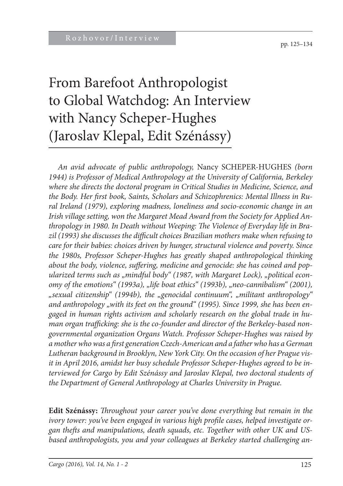# From Barefoot Anthropologist to Global Watchdog: An Interview with Nancy Scheper-Hughes (Jaroslav Klepal, Edit Szénássy)

*An avid advocate of public anthropology,* Nancy SCHEPER-HUGHES *(born 1944) is Professor of Medical Anthropology at the University of California, Berkeley where she directs the doctoral program in Critical Studies in Medicine, Science, and*  the Body. Her first book, Saints, Scholars and Schizophrenics: Mental Illness in Ru*ral Ireland (1979), exploring madness, loneliness and socio-economic change in an Irish village setting, won the Margaret Mead Award from the Society for Applied An*thropology in 1980. In Death without Weeping: The Violence of Everyday life in Brazil (1993) she discusses the difficult choices Brazilian mothers make when refusing to *care for their babies: choices driven by hunger, structural violence and poverty. Since the 1980s, Professor Scheper-Hughes has greatly shaped anthropological thinking*  about the body, violence, suffering, medicine and genocide: she has coined and popularized terms such as "mindful body" (1987, with Margaret Lock), "political econ*omy of the emotions*" (1993a), "life boat ethics" (1993b), "neo-cannibalism" (2001), *"sexual citizenship" (1994b), the "genocidal continuum", "militant anthropology"*  and anthropology "with its feet on the ground" (1995). Since 1999, she has been en*gaged in human rights activism and scholarly research on the global trade in hu*man organ trafficking: she is the co-founder and director of the Berkeley-based non*governmental organization Organs Watch. Professor Scheper-Hughes was raised by a mother who was a fi rst generation Czech-American and a father who has a German Lutheran background in Brooklyn, New York City. On the occasion of her Prague visit in April 2016, amidst her busy schedule Professor Scheper-Hughes agreed to be interviewed for Cargo by Edit Szénássy and Jaroslav Klepal, two doctoral students of the Department of General Anthropology at Charles University in Prague.*

**Edit Szénássy:** *Throughout your career you've done everything but remain in the* ivory tower: you've been engaged in various high profile cases, helped investigate organ thefts and manipulations, death squads, etc. Together with other UK and US*based anthropologists, you and your colleagues at Berkeley started challenging an-*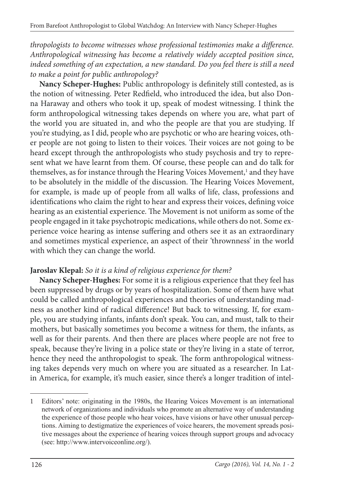*thropologists to become witnesses whose professional testimonies make a difference. Anthropological witnessing has become a relatively widely accepted position since, indeed something of an expectation, a new standard. Do you feel there is still a need to make a point for public anthropology?*

Nancy Scheper-Hughes: Public anthropology is definitely still contested, as is the notion of witnessing. Peter Redfield, who introduced the idea, but also Donna Haraway and others who took it up, speak of modest witnessing. I think the form anthropological witnessing takes depends on where you are, what part of the world you are situated in, and who the people are that you are studying. If you're studying, as I did, people who are psychotic or who are hearing voices, other people are not going to listen to their voices. Their voices are not going to be heard except through the anthropologists who study psychosis and try to represent what we have learnt from them. Of course, these people can and do talk for themselves, as for instance through the Hearing Voices Movement,<sup>1</sup> and they have to be absolutely in the middle of the discussion. The Hearing Voices Movement, for example, is made up of people from all walks of life, class, professions and identifications who claim the right to hear and express their voices, defining voice hearing as an existential experience. The Movement is not uniform as some of the people engaged in it take psychotropic medications, while others do not. Some experience voice hearing as intense suffering and others see it as an extraordinary and sometimes mystical experience, an aspect of their 'thrownness' in the world with which they can change the world.

#### **Jaroslav Klepal:** *So it is a kind of religious experience for them?*

**Nancy Scheper-Hughes:** For some it is a religious experience that they feel has been suppressed by drugs or by years of hospitalization. Some of them have what could be called anthropological experiences and theories of understanding madness as another kind of radical difference! But back to witnessing. If, for example, you are studying infants, infants don't speak. You can, and must, talk to their mothers, but basically sometimes you become a witness for them, the infants, as well as for their parents. And then there are places where people are not free to speak, because they're living in a police state or they're living in a state of terror, hence they need the anthropologist to speak. The form anthropological witnessing takes depends very much on where you are situated as a researcher. In Latin America, for example, it's much easier, since there's a longer tradition of intel-

<sup>1</sup> Editors' note: originating in the 1980s, the Hearing Voices Movement is an international network of organizations and individuals who promote an alternative way of understanding the experience of those people who hear voices, have visions or have other unusual perceptions. Aiming to destigmatize the experiences of voice hearers, the movement spreads positive messages about the experience of hearing voices through support groups and advocacy (see: http://www.intervoiceonline.org/).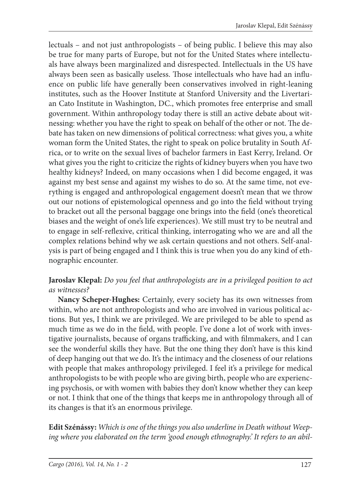lectuals – and not just anthropologists – of being public. I believe this may also be true for many parts of Europe, but not for the United States where intellectuals have always been marginalized and disrespected. Intellectuals in the US have always been seen as basically useless. Those intellectuals who have had an influence on public life have generally been conservatives involved in right-leaning institutes, such as the Hoover Institute at Stanford University and the Livertarian Cato Institute in Washington, DC., which promotes free enterprise and small government. Within anthropology today there is still an active debate about witnessing: whether you have the right to speak on behalf of the other or not. The debate has taken on new dimensions of political correctness: what gives you, a white woman form the United States, the right to speak on police brutality in South Africa, or to write on the sexual lives of bachelor farmers in East Kerry, Ireland. Or what gives you the right to criticize the rights of kidney buyers when you have two healthy kidneys? Indeed, on many occasions when I did become engaged, it was against my best sense and against my wishes to do so. At the same time, not everything is engaged and anthropological engagement doesn't mean that we throw out our notions of epistemological openness and go into the field without trying to bracket out all the personal baggage one brings into the field (one's theoretical biases and the weight of one's life experiences). We still must try to be neutral and to engage in self-reflexive, critical thinking, interrogating who we are and all the complex relations behind why we ask certain questions and not others. Self-analysis is part of being engaged and I think this is true when you do any kind of ethnographic encounter.

#### **Jaroslav Klepal:** *Do you feel that anthropologists are in a privileged position to act as witnesses?*

**Nancy Scheper-Hughes:** Certainly, every society has its own witnesses from within, who are not anthropologists and who are involved in various political actions. But yes, I think we are privileged. We are privileged to be able to spend as much time as we do in the field, with people. I've done a lot of work with investigative journalists, because of organs trafficking, and with filmmakers, and I can see the wonderful skills they have. But the one thing they don't have is this kind of deep hanging out that we do. It's the intimacy and the closeness of our relations with people that makes anthropology privileged. I feel it's a privilege for medical anthropologists to be with people who are giving birth, people who are experiencing psychosis, or with women with babies they don't know whether they can keep or not. I think that one of the things that keeps me in anthropology through all of its changes is that it's an enormous privilege.

**Edit Szénássy:** *Which is one of the things you also underline in Death without Weeping where you elaborated on the term 'good enough ethnography.' It refers to an abil-*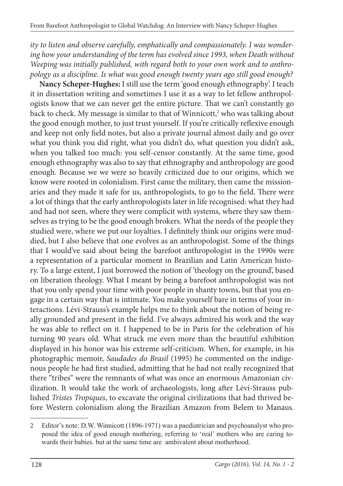*ity to listen and observe carefully, emphatically and compassionately. I was wondering how your understanding of the term has evolved since 1993, when Death without Weeping was initially published, with regard both to your own work and to anthropology as a discipline. Is what was good enough twenty years ago still good enough?*

**Nancy Scheper-Hughes:** I still use the term 'good enough ethnography'. I teach it in dissertation writing and sometimes I use it as a way to let fellow anthropologists know that we can never get the entire picture. That we can't constantly go back to check. My message is similar to that of Winnicott,<sup>2</sup> who was talking about the good enough mother, to just trust yourself. If you're critically reflexive enough and keep not only field notes, but also a private journal almost daily and go over what you think you did right, what you didn't do, what question you didn't ask, when you talked too much: you self-censor constantly. At the same time, good enough ethnography was also to say that ethnography and anthropology are good enough. Because we we were so heavily criticized due to our origins, which we know were rooted in colonialism. First came the military, then came the missionaries and they made it safe for us, anthropologists, to go to the field. There were a lot of things that the early anthropologists later in life recognised: what they had and had not seen, where they were complicit with systems, where they saw themselves as trying to be the good enough brokers. What the needs of the people they studied were, where we put our loyalties. I definitely think our origins were muddied, but I also believe that one evolves as an anthropologist. Some of the things that I would've said about being the barefoot anthropologist in the 1990s were a representation of a particular moment in Brazilian and Latin American history. To a large extent, I just borrowed the notion of 'theology on the ground', based on liberation theology. What I meant by being a barefoot anthropologist was not that you only spend your time with poor people in shanty towns, but that you engage in a certain way that is intimate. You make yourself bare in terms of your interactions. Lévi-Strauss's example helps me to think about the notion of being really grounded and present in the field. I've always admired his work and the way he was able to reflect on it. I happened to be in Paris for the celebration of his turning 90 years old. What struck me even more than the beautiful exhibition displayed in his honor was his extreme self-criticism. When, for example, in his photographic memoir, *Saudades do Brasil* (1995) he commented on the indigenous people he had first studied, admitting that he had not really recognized that there "tribes" were the remnants of what was once an enormous Amazonian civilization. It would take the work of archaeologists, long after Lévi-Strauss published *Tristes Tropiques*, to excavate the original civilizations that had thrived before Western colonialism along the Brazilian Amazon from Belem to Manaus.

<sup>2</sup> Editor's note: D.W. Winnicott (1896-1971) was a paediatrician and psychoanalyst who proposed the idea of good enough mothering, referring to 'real' mothers who are caring towards their babies. but at the same time are ambivalent about motherhood.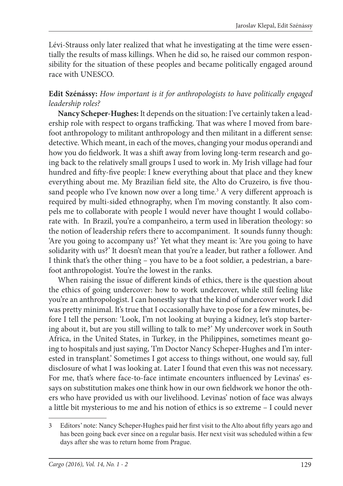Lévi-Strauss only later realized that what he investigating at the time were essentially the results of mass killings. When he did so, he raised our common responsibility for the situation of these peoples and became politically engaged around race with UNESCO.

#### **Edit Szénássy:** *How important is it for anthropologists to have politically engaged leadership roles?*

**Nancy Scheper-Hughes:** It depends on the situation: I've certainly taken a leadership role with respect to organs trafficking. That was where I moved from barefoot anthropology to militant anthropology and then militant in a different sense: detective. Which meant, in each of the moves, changing your modus operandi and how you do fieldwork. It was a shift away from loving long-term research and going back to the relatively small groups I used to work in. My Irish village had four hundred and fifty-five people: I knew everything about that place and they knew everything about me. My Brazilian field site, the Alto do Cruzeiro, is five thousand people who I've known now over a long time.<sup>3</sup> A very different approach is required by multi-sided ethnography, when I'm moving constantly. It also compels me to collaborate with people I would never have thought I would collaborate with. In Brazil, you're a companheiro, a term used in liberation theology: so the notion of leadership refers there to accompaniment. It sounds funny though: 'Are you going to accompany us?' Yet what they meant is: 'Are you going to have solidarity with us?' It doesn't mean that you're a leader, but rather a follower. And I think that's the other thing – you have to be a foot soldier, a pedestrian, a barefoot anthropologist. You're the lowest in the ranks.

When raising the issue of different kinds of ethics, there is the question about the ethics of going undercover: how to work undercover, while still feeling like you're an anthropologist. I can honestly say that the kind of undercover work I did was pretty minimal. It's true that I occasionally have to pose for a few minutes, before I tell the person: 'Look, I'm not looking at buying a kidney, let's stop bartering about it, but are you still willing to talk to me?' My undercover work in South Africa, in the United States, in Turkey, in the Philippines, sometimes meant going to hospitals and just saying, 'I'm Doctor Nancy Scheper-Hughes and I'm interested in transplant.' Sometimes I got access to things without, one would say, full disclosure of what I was looking at. Later I found that even this was not necessary. For me, that's where face-to-face intimate encounters influenced by Levinas' essays on substitution makes one think how in our own fieldwork we honor the others who have provided us with our livelihood. Levinas' notion of face was always a little bit mysterious to me and his notion of ethics is so extreme – I could never

<sup>3</sup> Editors' note: Nancy Scheper-Hughes paid her first visit to the Alto about fifty years ago and has been going back ever since on a regular basis. Her next visit was scheduled within a few days after she was to return home from Prague.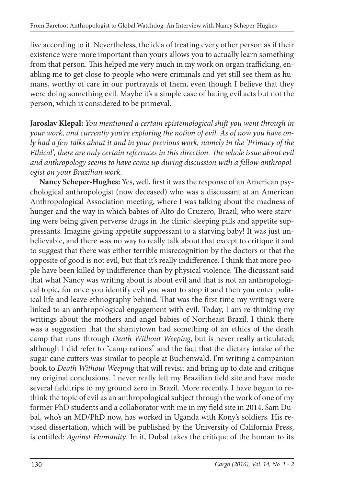live according to it. Nevertheless, the idea of treating every other person as if their existence were more important than yours allows you to actually learn something from that person. This helped me very much in my work on organ trafficking, enabling me to get close to people who were criminals and yet still see them as humans, worthy of care in our portrayals of them, even though I believe that they were doing something evil. Maybe it's a simple case of hating evil acts but not the person, which is considered to be primeval.

**Jaroslav Klepal:** *You mentioned a certain epistemological shift you went through in your work, and currently you're exploring the notion of evil. As of now you have only had a few talks about it and in your previous work, namely in the 'Primacy of the Ethical*', there are only certain references in this direction. The whole issue about evil *and anthropology seems to have come up during discussion with a fellow anthropologist on your Brazilian work.*

Nancy Scheper-Hughes: Yes, well, first it was the response of an American psychological anthropologist (now deceased) who was a discussant at an American Anthropological Association meeting, where I was talking about the madness of hunger and the way in which babies of Alto do Cruzero, Brazil, who were starving were being given perverse drugs in the clinic: sleeping pills and appetite suppressants. Imagine giving appetite suppressant to a starving baby! It was just unbelievable, and there was no way to really talk about that except to critique it and to suggest that there was either terrible misrecognition by the doctors or that the opposite of good is not evil, but that it's really indifference. I think that more people have been killed by indifference than by physical violence. The dicussant said that what Nancy was writing about is about evil and that is not an anthropological topic, for once you identify evil you want to stop it and then you enter political life and leave ethnography behind. That was the first time my writings were linked to an anthropological engagement with evil. Today, I am re-thinking my writings about the mothers and angel babies of Northeast Brazil. I think there was a suggestion that the shantytown had something of an ethics of the death camp that runs through *Death Without Weeping*, but is never really articulated; although I did refer to "camp rations" and the fact that the dietary intake of the sugar cane cutters was similar to people at Buchenwald. I'm writing a companion book to *Death Without Weeping* that will revisit and bring up to date and critique my original conclusions. I never really left my Brazilian field site and have made several fieldtrips to my ground zero in Brazil. More recently, I have begun to rethink the topic of evil as an anthropological subject through the work of one of my former PhD students and a collaborator with me in my field site in 2014. Sam Dubal, who's an MD/PhD now, has worked in Uganda with Kony's soldiers. His revised dissertation, which will be published by the University of California Press, is entitled: *Against Humanity*. In it, Dubal takes the critique of the human to its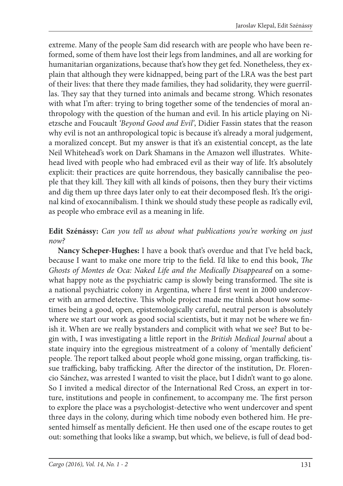extreme. Many of the people Sam did research with are people who have been reformed, some of them have lost their legs from landmines, and all are working for humanitarian organizations, because that's how they get fed. Nonetheless, they explain that although they were kidnapped, being part of the LRA was the best part of their lives: that there they made families, they had solidarity, they were guerrillas. They say that they turned into animals and became strong. Which resonates with what I'm after: trying to bring together some of the tendencies of moral anthropology with the question of the human and evil. In his article playing on Nietzsche and Foucault *'Beyond Good and Evil'*, Didier Fassin states that the reason why evil is not an anthropological topic is because it's already a moral judgement, a moralized concept. But my answer is that it's an existential concept, as the late Neil Whitehead's work on Dark Shamans in the Amazon well illustrates. Whitehead lived with people who had embraced evil as their way of life. It's absolutely explicit: their practices are quite horrendous, they basically cannibalise the people that they kill. They kill with all kinds of poisons, then they bury their victims and dig them up three days later only to eat their decomposed flesh. It's the original kind of exocannibalism. I think we should study these people as radically evil, as people who embrace evil as a meaning in life.

#### **Edit Szénássy:** *Can you tell us about what publications you're working on just now?*

**Nancy Scheper-Hughes:** I have a book that's overdue and that I've held back, because I want to make one more trip to the field. I'd like to end this book, *The Ghosts of Montes de Oca: Naked Life and the Medically Disappeared* on a somewhat happy note as the psychiatric camp is slowly being transformed. The site is a national psychiatric colony in Argentina, where I first went in 2000 undercover with an armed detective. This whole project made me think about how sometimes being a good, open, epistemologically careful, neutral person is absolutely where we start our work as good social scientists, but it may not be where we finish it. When are we really bystanders and complicit with what we see? But to begin with, I was investigating a little report in the *British Medical Journal* about a state inquiry into the egregious mistreatment of a colony of 'mentally deficient' people. The report talked about people who'd gone missing, organ trafficking, tissue trafficking, baby trafficking. After the director of the institution, Dr. Florencio Sánchez, was arrested I wanted to visit the place, but I didn't want to go alone. So I invited a medical director of the International Red Cross, an expert in torture, institutions and people in confinement, to accompany me. The first person to explore the place was a psychologist-detective who went undercover and spent three days in the colony, during which time nobody even bothered him. He presented himself as mentally deficient. He then used one of the escape routes to get out: something that looks like a swamp, but which, we believe, is full of dead bod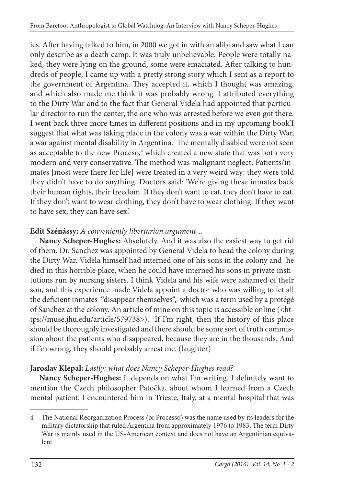ies. After having talked to him, in 2000 we got in with an alibi and saw what I can only describe as a death camp. It was truly unbelievable. People were totally naked, they were lying on the ground, some were emaciated. After talking to hundreds of people, I came up with a pretty strong story which I sent as a report to the government of Argentina. They accepted it, which I thought was amazing, and which also made me think it was probably wrong. I attributed everything to the Dirty War and to the fact that General Videla had appointed that particular director to run the center, the one who was arrested before we even got there. I went back three more times in different positions and in my upcoming book'I suggest that what was taking place in the colony was a war within the Dirty War, a war against mental disability in Argentina. The mentally disabled were not seen as acceptable to the new Proceso,<sup>4</sup> which created a new state that was both very modern and very conservative. The method was malignant neglect. Patients/inmates [most were there for life] were treated in a very weird way: they were told they didn't have to do anything. Doctors said: 'We're giving these inmates back their human rights, their freedom. If they don't want to eat, they don't have to eat. If they don't want to wear clothing, they don't have to wear clothing. If they want to have sex, they can have sex.'

#### **Edit Szénássy:** *A conveniently libertarian argument…*

**Nancy Scheper-Hughes:** Absolutely. And it was also the easiest way to get rid of them. Dr. Sanchez was appointed by General Videla to head the colony during the Dirty War. Videla himself had interned one of his sons in the colony and he died in this horrible place, when he could have interned his sons in private institutions run by nursing sisters. I think Videla and his wife were ashamed of their son, and this experience made Videla appoint a doctor who was willing to let all the deficient inmates "disappear themselves", which was a term used by a protégé of Sanchez at the colony. An article of mine on this topic is accessible online (<https://muse.jhu.edu/article/579738>). If I'm right, then the history of this place should be thoroughly investigated and there should be some sort of truth commission about the patients who disappeared, because they are in the thousands. And if I'm wrong, they should probably arrest me. (laughter)

### **Jaroslav Klepal:** *Lastly: what does Nancy Scheper-Hughes read?*

Nancy Scheper-Hughes: It depends on what I'm writing. I definitely want to mention the Czech philosopher Patočka, about whom I learned from a Czech mental patient. I encountered him in Trieste, Italy, at a mental hospital that was

<sup>4</sup> The National Reorganization Process (or Processo) was the name used by its leaders for the military dictatorship that ruled Argentina from approximately 1976 to 1983. The term Dirty War is mainly used in the US-American context and does not have an Argentinian equivalent.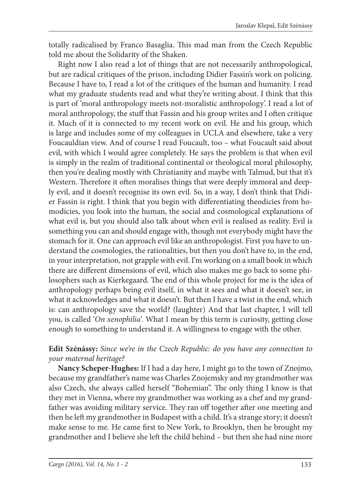totally radicalised by Franco Basaglia. This mad man from the Czech Republic told me about the Solidarity of the Shaken.

Right now I also read a lot of things that are not necessarily anthropological, but are radical critiques of the prison, including Didier Fassin's work on policing. Because I have to, I read a lot of the critiques of the human and humanity. I read what my graduate students read and what they're writing about. I think that this is part of 'moral anthropology meets not-moralistic anthropology'. I read a lot of moral anthropology, the stuff that Fassin and his group writes and I often critique it. Much of it is connected to my recent work on evil. He and his group, which is large and includes some of my colleagues in UCLA and elsewhere, take a very Foucauldian view. And of course I read Foucault, too – what Foucault said about evil, with which I would agree completely. He says the problem is that when evil is simply in the realm of traditional continental or theological moral philosophy, then you're dealing mostly with Christianity and maybe with Talmud, but that it's Western. Therefore it often moralises things that were deeply immoral and deeply evil, and it doesn't recognise its own evil. So, in a way, I don't think that Didier Fassin is right. I think that you begin with differentiating theodicies from homodicies, you look into the human, the social and cosmological explanations of what evil is, but you should also talk about when evil is realised as reality. Evil is something you can and should engage with, though not everybody might have the stomach for it. One can approach evil like an anthropologist. First you have to understand the cosmologies, the rationalities, but then you don't have to, in the end, in your interpretation, not grapple with evil. I'm working on a small book in which there are different dimensions of evil, which also makes me go back to some philosophers such as Kierkegaard. The end of this whole project for me is the idea of anthropology perhaps being evil itself, in what it sees and what it doesn't see, in what it acknowledges and what it doesn't. But then I have a twist in the end, which is: can anthropology save the world? (laughter) And that last chapter, I will tell you, is called '*On xenophilia'*. What I mean by this term is curiosity, getting close enough to something to understand it. A willingness to engage with the other.

#### **Edit Szénássy:** *Since we're in the Czech Republic: do you have any connection to your maternal heritage?*

**Nancy Scheper-Hughes:** If I had a day here, I might go to the town of Znojmo, because my grandfather's name was Charles Znojemsky and my grandmother was also Czech, she always called herself "Bohemian". The only thing I know is that they met in Vienna, where my grandmother was working as a chef and my grandfather was avoiding military service. They ran off together after one meeting and then he left my grandmother in Budapest with a child. It's a strange story; it doesn't make sense to me. He came first to New York, to Brooklyn, then he brought my grandmother and I believe she left the child behind – but then she had nine more